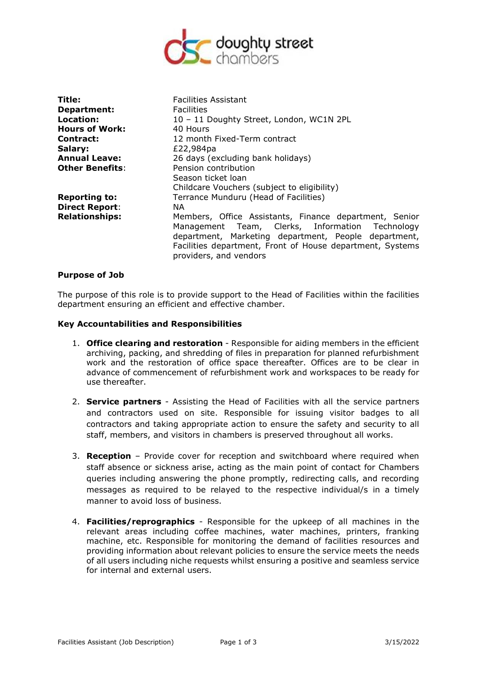

| Title:<br>Department:  | <b>Facilities Assistant</b><br><b>Facilities</b>                                                                                                                                                                                                         |
|------------------------|----------------------------------------------------------------------------------------------------------------------------------------------------------------------------------------------------------------------------------------------------------|
| Location:              | 10 - 11 Doughty Street, London, WC1N 2PL                                                                                                                                                                                                                 |
| <b>Hours of Work:</b>  | 40 Hours                                                                                                                                                                                                                                                 |
| <b>Contract:</b>       | 12 month Fixed-Term contract                                                                                                                                                                                                                             |
| Salary:                | £22,984pa                                                                                                                                                                                                                                                |
| <b>Annual Leave:</b>   | 26 days (excluding bank holidays)                                                                                                                                                                                                                        |
| <b>Other Benefits:</b> | Pension contribution                                                                                                                                                                                                                                     |
|                        | Season ticket loan                                                                                                                                                                                                                                       |
|                        | Childcare Vouchers (subject to eligibility)                                                                                                                                                                                                              |
| <b>Reporting to:</b>   | Terrance Munduru (Head of Facilities)                                                                                                                                                                                                                    |
| <b>Direct Report:</b>  | NA.                                                                                                                                                                                                                                                      |
| <b>Relationships:</b>  | Members, Office Assistants, Finance department, Senior<br>Management Team, Clerks, Information Technology<br>department, Marketing department, People department,<br>Facilities department, Front of House department, Systems<br>providers, and vendors |

#### **Purpose of Job**

The purpose of this role is to provide support to the Head of Facilities within the facilities department ensuring an efficient and effective chamber.

### **Key Accountabilities and Responsibilities**

- 1. **Office clearing and restoration** Responsible for aiding members in the efficient archiving, packing, and shredding of files in preparation for planned refurbishment work and the restoration of office space thereafter. Offices are to be clear in advance of commencement of refurbishment work and workspaces to be ready for use thereafter.
- 2. **Service partners** Assisting the Head of Facilities with all the service partners and contractors used on site. Responsible for issuing visitor badges to all contractors and taking appropriate action to ensure the safety and security to all staff, members, and visitors in chambers is preserved throughout all works.
- 3. **Reception** Provide cover for reception and switchboard where required when staff absence or sickness arise, acting as the main point of contact for Chambers queries including answering the phone promptly, redirecting calls, and recording messages as required to be relayed to the respective individual/s in a timely manner to avoid loss of business.
- 4. **Facilities/reprographics** Responsible for the upkeep of all machines in the relevant areas including coffee machines, water machines, printers, franking machine, etc. Responsible for monitoring the demand of facilities resources and providing information about relevant policies to ensure the service meets the needs of all users including niche requests whilst ensuring a positive and seamless service for internal and external users.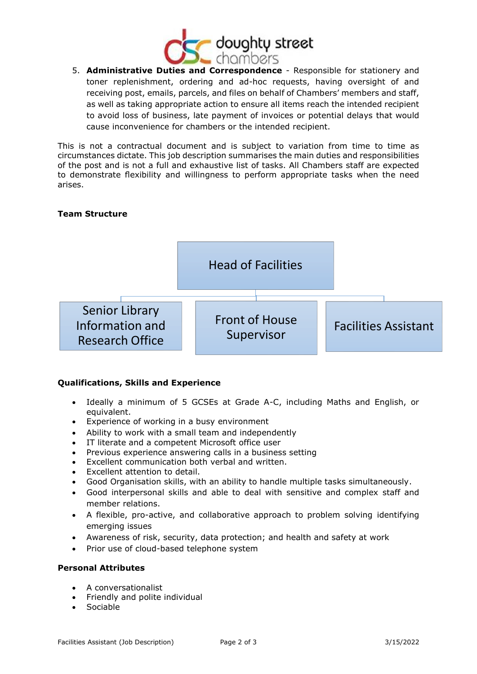

5. **Administrative Duties and Correspondence** - Responsible for stationery and toner replenishment, ordering and ad-hoc requests, having oversight of and receiving post, emails, parcels, and files on behalf of Chambers' members and staff, as well as taking appropriate action to ensure all items reach the intended recipient to avoid loss of business, late payment of invoices or potential delays that would cause inconvenience for chambers or the intended recipient.

This is not a contractual document and is subject to variation from time to time as circumstances dictate. This job description summarises the main duties and responsibilities of the post and is not a full and exhaustive list of tasks. All Chambers staff are expected to demonstrate flexibility and willingness to perform appropriate tasks when the need arises.

# **Team Structure**



## **Qualifications, Skills and Experience**

- Ideally a minimum of 5 GCSEs at Grade A-C, including Maths and English, or equivalent.
- Experience of working in a busy environment
- Ability to work with a small team and independently
- IT literate and a competent Microsoft office user
- Previous experience answering calls in a business setting
- Excellent communication both verbal and written.
- Excellent attention to detail.
- Good Organisation skills, with an ability to handle multiple tasks simultaneously.
- Good interpersonal skills and able to deal with sensitive and complex staff and member relations.
- A flexible, pro-active, and collaborative approach to problem solving identifying emerging issues
- Awareness of risk, security, data protection; and health and safety at work
- Prior use of cloud-based telephone system

## **Personal Attributes**

- A conversationalist
- Friendly and polite individual
- **Sociable**